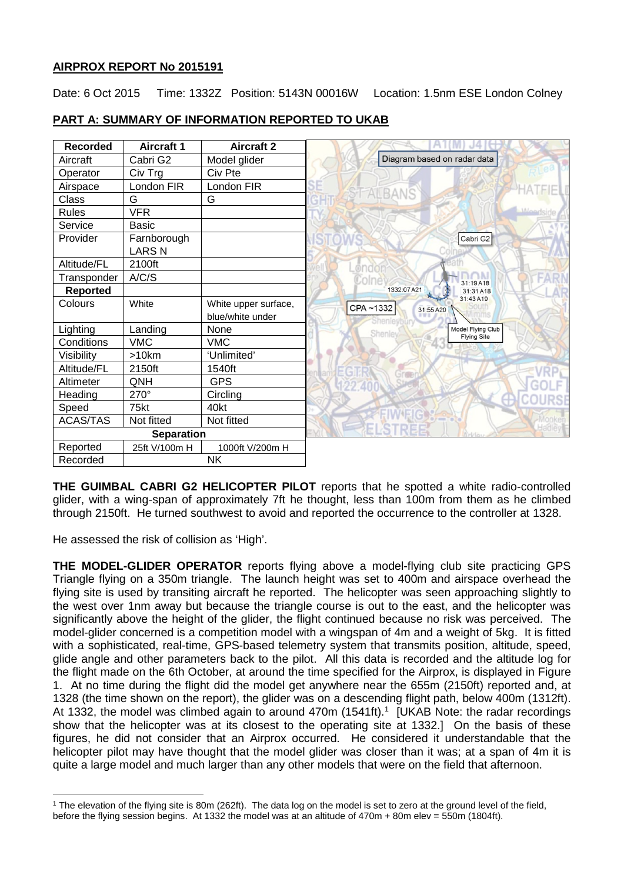## **AIRPROX REPORT No 2015191**

Date: 6 Oct 2015 Time: 1332Z Position: 5143N 00016W Location: 1.5nm ESE London Colney

| <b>Recorded</b>   | <b>Aircraft 1</b> | <b>Aircraft 2</b>    |                             |                    |
|-------------------|-------------------|----------------------|-----------------------------|--------------------|
| Aircraft          | Cabri G2          | Model glider         | Diagram based on radar data |                    |
| Operator          | Civ Trg           | Civ Pte              |                             |                    |
| Airspace          | London FIR        | London FIR           |                             |                    |
| Class             | G                 | G                    | <b>ALBANS</b>               |                    |
| <b>Rules</b>      | <b>VFR</b>        |                      |                             |                    |
| Service           | Basic             |                      |                             |                    |
| Provider          | Farnborough       |                      |                             | Cabri G2           |
|                   | <b>LARSN</b>      |                      |                             |                    |
| Altitude/FL       | 2100ft            |                      | @ndo                        |                    |
| Transponder       | A/C/S             |                      |                             | 31:19A18           |
| <b>Reported</b>   |                   |                      | 1332:07 A21                 | 31:31 A18          |
| Colours           | White             | White upper surface, | CPA~1332<br>31:55 A20       | 31:43 A19          |
|                   |                   | blue/white under     |                             |                    |
| Lighting          | Landing           | None                 | <b>Shenley</b>              | Model Flying Club  |
| Conditions        | <b>VMC</b>        | <b>VMC</b>           |                             | <b>Flying Site</b> |
| Visibility        | >10km             | 'Unlimited'          |                             |                    |
| Altitude/FL       | 2150ft            | 1540ft               |                             |                    |
| Altimeter         | QNH               | <b>GPS</b>           |                             |                    |
| Heading           | 270°              | Circling             |                             |                    |
| Speed             | 75kt              | 40kt                 |                             |                    |
| ACAS/TAS          | Not fitted        | Not fitted           | <b>FI'S</b>                 |                    |
| <b>Separation</b> |                   |                      |                             |                    |
| Reported          | 25ft V/100m H     | 1000ft V/200m H      |                             |                    |
| Recorded          |                   | <b>NK</b>            |                             |                    |

# **PART A: SUMMARY OF INFORMATION REPORTED TO UKAB**

**THE GUIMBAL CABRI G2 HELICOPTER PILOT** reports that he spotted a white radio-controlled glider, with a wing-span of approximately 7ft he thought, less than 100m from them as he climbed through 2150ft. He turned southwest to avoid and reported the occurrence to the controller at 1328.

He assessed the risk of collision as 'High'.

l

**THE MODEL-GLIDER OPERATOR** reports flying above a model-flying club site practicing GPS Triangle flying on a 350m triangle. The launch height was set to 400m and airspace overhead the flying site is used by transiting aircraft he reported. The helicopter was seen approaching slightly to the west over 1nm away but because the triangle course is out to the east, and the helicopter was significantly above the height of the glider, the flight continued because no risk was perceived. The model-glider concerned is a competition model with a wingspan of 4m and a weight of 5kg. It is fitted with a sophisticated, real-time, GPS-based telemetry system that transmits position, altitude, speed, glide angle and other parameters back to the pilot. All this data is recorded and the altitude log for the flight made on the 6th October, at around the time specified for the Airprox, is displayed in Figure 1. At no time during the flight did the model get anywhere near the 655m (2150ft) reported and, at 1328 (the time shown on the report), the glider was on a descending flight path, below 400m (1312ft). At [1](#page-0-0)332, the model was climbed again to around 470m (1541ft).<sup>1</sup> [UKAB Note: the radar recordings show that the helicopter was at its closest to the operating site at 1332.] On the basis of these figures, he did not consider that an Airprox occurred. He considered it understandable that the helicopter pilot may have thought that the model glider was closer than it was; at a span of 4m it is quite a large model and much larger than any other models that were on the field that afternoon.

<span id="page-0-0"></span><sup>1</sup> The elevation of the flying site is 80m (262ft). The data log on the model is set to zero at the ground level of the field, before the flying session begins. At 1332 the model was at an altitude of 470m + 80m elev = 550m (1804ft).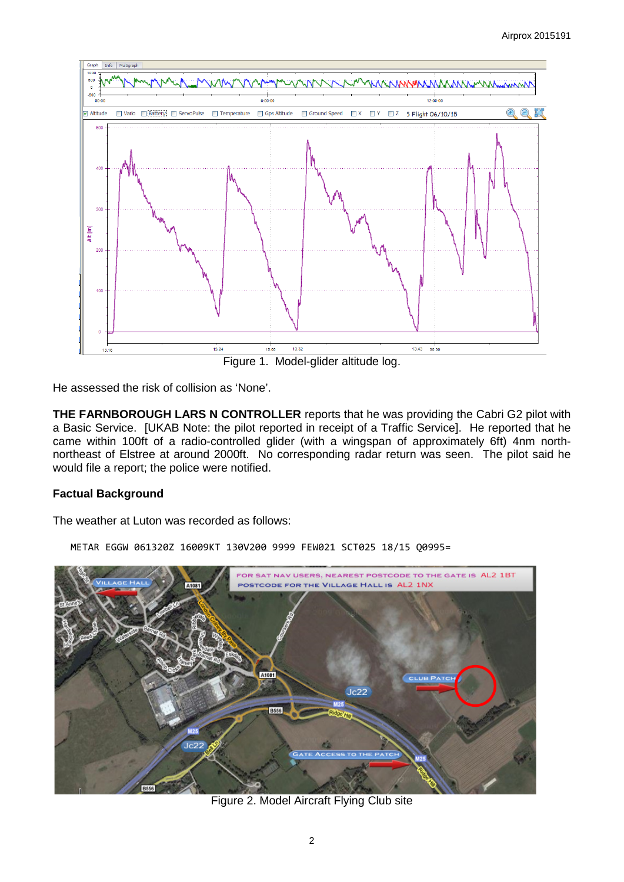

He assessed the risk of collision as 'None'.

**THE FARNBOROUGH LARS N CONTROLLER** reports that he was providing the Cabri G2 pilot with a Basic Service. [UKAB Note: the pilot reported in receipt of a Traffic Service]. He reported that he came within 100ft of a radio-controlled glider (with a wingspan of approximately 6ft) 4nm northnortheast of Elstree at around 2000ft. No corresponding radar return was seen. The pilot said he would file a report; the police were notified.

## **Factual Background**

The weather at Luton was recorded as follows:



METAR EGGW 061320Z 16009KT 130V200 9999 FEW021 SCT025 18/15 Q0995=

Figure 2. Model Aircraft Flying Club site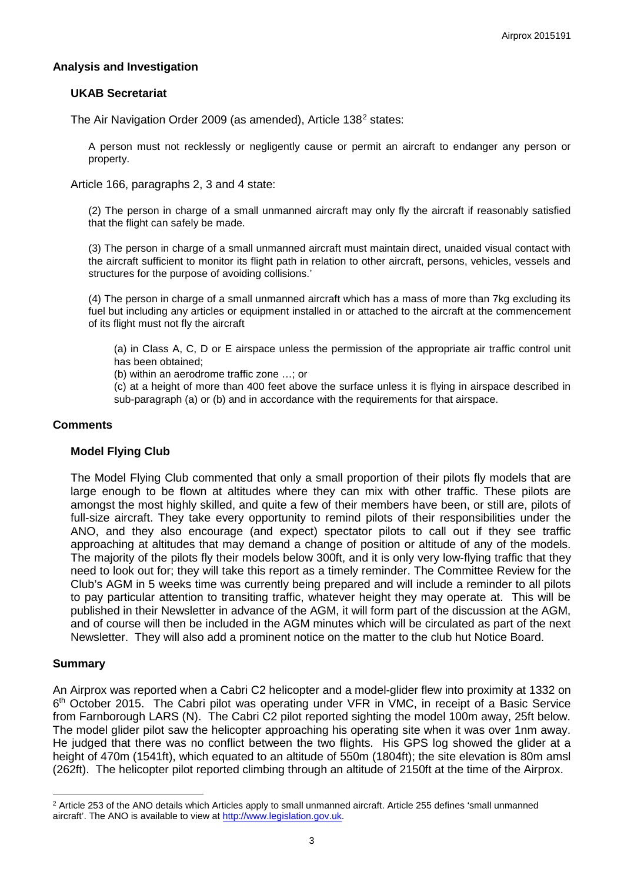### **Analysis and Investigation**

### **UKAB Secretariat**

The Air Navigation Order [2](#page-2-0)009 (as amended), Article 138<sup>2</sup> states:

A person must not recklessly or negligently cause or permit an aircraft to endanger any person or property.

Article 166, paragraphs 2, 3 and 4 state:

(2) The person in charge of a small unmanned aircraft may only fly the aircraft if reasonably satisfied that the flight can safely be made.

(3) The person in charge of a small unmanned aircraft must maintain direct, unaided visual contact with the aircraft sufficient to monitor its flight path in relation to other aircraft, persons, vehicles, vessels and structures for the purpose of avoiding collisions.'

(4) The person in charge of a small unmanned aircraft which has a mass of more than 7kg excluding its fuel but including any articles or equipment installed in or attached to the aircraft at the commencement of its flight must not fly the aircraft

(a) in Class A, C, D or E airspace unless the permission of the appropriate air traffic control unit has been obtained;

(b) within an aerodrome traffic zone …; or

(c) at a height of more than 400 feet above the surface unless it is flying in airspace described in sub-paragraph (a) or (b) and in accordance with the requirements for that airspace.

#### **Comments**

#### **Model Flying Club**

The Model Flying Club commented that only a small proportion of their pilots fly models that are large enough to be flown at altitudes where they can mix with other traffic. These pilots are amongst the most highly skilled, and quite a few of their members have been, or still are, pilots of full-size aircraft. They take every opportunity to remind pilots of their responsibilities under the ANO, and they also encourage (and expect) spectator pilots to call out if they see traffic approaching at altitudes that may demand a change of position or altitude of any of the models. The majority of the pilots fly their models below 300ft, and it is only very low-flying traffic that they need to look out for; they will take this report as a timely reminder. The Committee Review for the Club's AGM in 5 weeks time was currently being prepared and will include a reminder to all pilots to pay particular attention to transiting traffic, whatever height they may operate at. This will be published in their Newsletter in advance of the AGM, it will form part of the discussion at the AGM, and of course will then be included in the AGM minutes which will be circulated as part of the next Newsletter. They will also add a prominent notice on the matter to the club hut Notice Board.

#### **Summary**

l

An Airprox was reported when a Cabri C2 helicopter and a model-glider flew into proximity at 1332 on 6th October 2015. The Cabri pilot was operating under VFR in VMC, in receipt of a Basic Service from Farnborough LARS (N). The Cabri C2 pilot reported sighting the model 100m away, 25ft below. The model glider pilot saw the helicopter approaching his operating site when it was over 1nm away. He judged that there was no conflict between the two flights. His GPS log showed the glider at a height of 470m (1541ft), which equated to an altitude of 550m (1804ft); the site elevation is 80m amsl (262ft). The helicopter pilot reported climbing through an altitude of 2150ft at the time of the Airprox.

<span id="page-2-0"></span><sup>&</sup>lt;sup>2</sup> Article 253 of the ANO details which Articles apply to small unmanned aircraft. Article 255 defines 'small unmanned aircraft'. The ANO is available to view at [http://www.legislation.gov.uk.](http://www.legislation.gov.uk/)